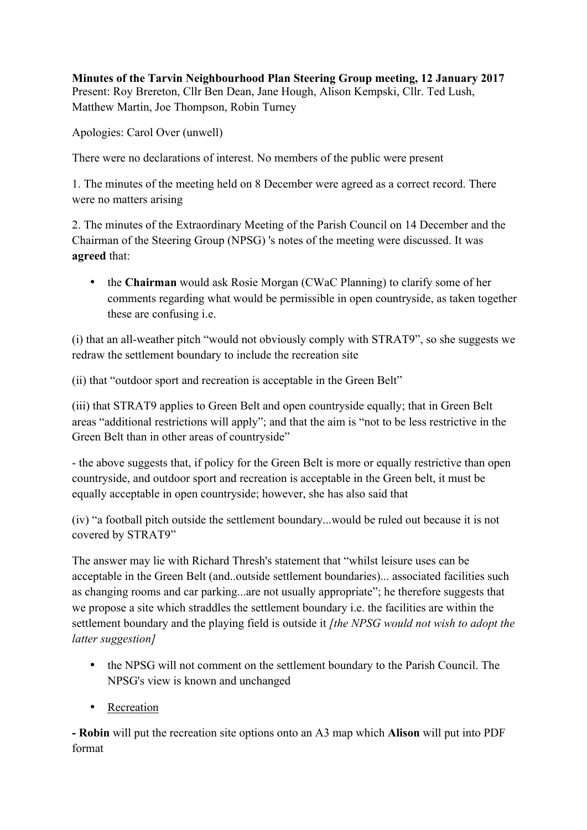**Minutes of the Tarvin Neighbourhood Plan Steering Group meeting, 12 January 2017** Present: Roy Brereton, Cllr Ben Dean, Jane Hough, Alison Kempski, Cllr. Ted Lush, Matthew Martin, Joe Thompson, Robin Turney

Apologies: Carol Over (unwell)

There were no declarations of interest. No members of the public were present

1. The minutes of the meeting held on 8 December were agreed as a correct record. There were no matters arising

2. The minutes of the Extraordinary Meeting of the Parish Council on 14 December and the Chairman of the Steering Group (NPSG) 's notes of the meeting were discussed. It was **agreed** that:

• the **Chairman** would ask Rosie Morgan (CWaC Planning) to clarify some of her comments regarding what would be permissible in open countryside, as taken together these are confusing i.e.

(i) that an all-weather pitch "would not obviously comply with STRAT9", so she suggests we redraw the settlement boundary to include the recreation site

(ii) that "outdoor sport and recreation is acceptable in the Green Belt"

(iii) that STRAT9 applies to Green Belt and open countryside equally; that in Green Belt areas "additional restrictions will apply"; and that the aim is "not to be less restrictive in the Green Belt than in other areas of countryside"

- the above suggests that, if policy for the Green Belt is more or equally restrictive than open countryside, and outdoor sport and recreation is acceptable in the Green belt, it must be equally acceptable in open countryside; however, she has also said that

(iv) "a football pitch outside the settlement boundary...would be ruled out because it is not covered by STRAT9"

The answer may lie with Richard Thresh's statement that "whilst leisure uses can be acceptable in the Green Belt (and..outside settlement boundaries)... associated facilities such as changing rooms and car parking...are not usually appropriate"; he therefore suggests that we propose a site which straddles the settlement boundary i.e. the facilities are within the settlement boundary and the playing field is outside it *[the NPSG would not wish to adopt the latter suggestion]* 

- the NPSG will not comment on the settlement boundary to the Parish Council. The NPSG's view is known and unchanged
- Recreation

**- Robin** will put the recreation site options onto an A3 map which **Alison** will put into PDF format